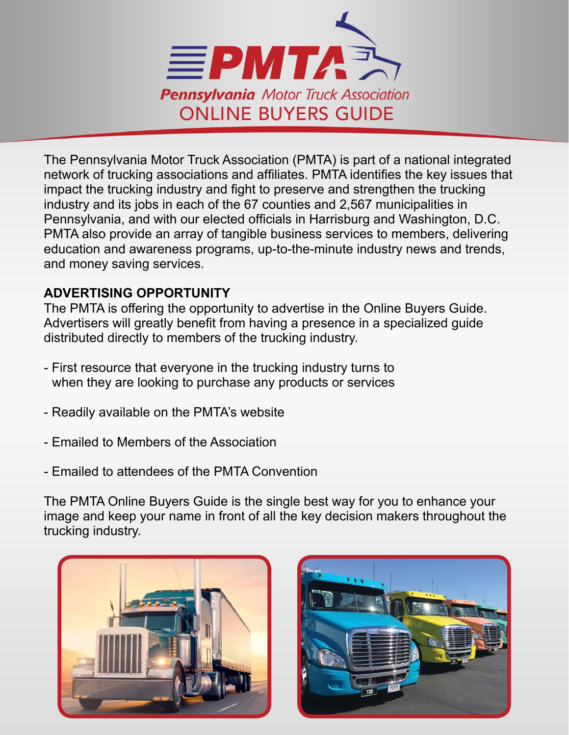

The Pennsylvania Motor Truck Association (PMTA) is part of a national integrated network of trucking associations and affiliates. PMTA identifies the key issues that impact the trucking industry and fight to preserve and strengthen the trucking industry and its jobs in each of the 67 counties and 2,567 municipalities in Pennsylvania, and with our elected officials in Harrisburg and Washington, D.C. PMTA also provide an array of tangible business services to members, delivering education and awareness programs, up-to-the-minute industry news and trends, and money saving services.

### **ADVERTISING OPPORTUNITY**

The PMTA is offering the opportunity to advertise in the Online Buyers Guide. Advertisers will greatly benefit from having a presence in a specialized guide distributed directly to members of the trucking industry.

- First resource that everyone in the trucking industry turns to when they are looking to purchase any products or services
- Readily available on the PMTA's website
- Emailed to Members of the Association
- Emailed to attendees of the PMTA Convention

The PMTA Online Buyers Guide is the single best way for you to enhance your image and keep your name in front of all the key decision makers throughout the trucking industry.



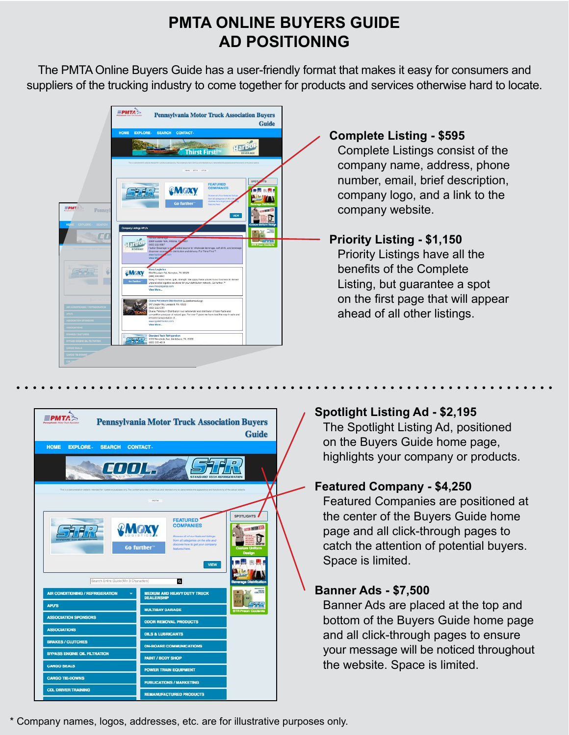## **PMTA ONLINE BUYERS GUIDE AD POSITIONING**

The PMTA Online Buyers Guide has a user-friendly format that makes it easy for consumers and suppliers of the trucking industry to come together for products and services otherwise hard to locate.





#### **Spotlight Listing Ad - \$2,195**

The Spotlight Listing Ad, positioned on the Buyers Guide home page, highlights your company or products.

#### **Featured Company - \$4,250**

Featured Companies are positioned at the center of the Buyers Guide home page and all click-through pages to catch the attention of potential buyers. Space is limited.

#### **Banner Ads - \$7,500**

Banner Ads are placed at the top and bottom of the Buyers Guide home page and all click-through pages to ensure your message will be noticed throughout the website. Space is limited.

\* Company names, logos, addresses, etc. are for illustrative purposes only.